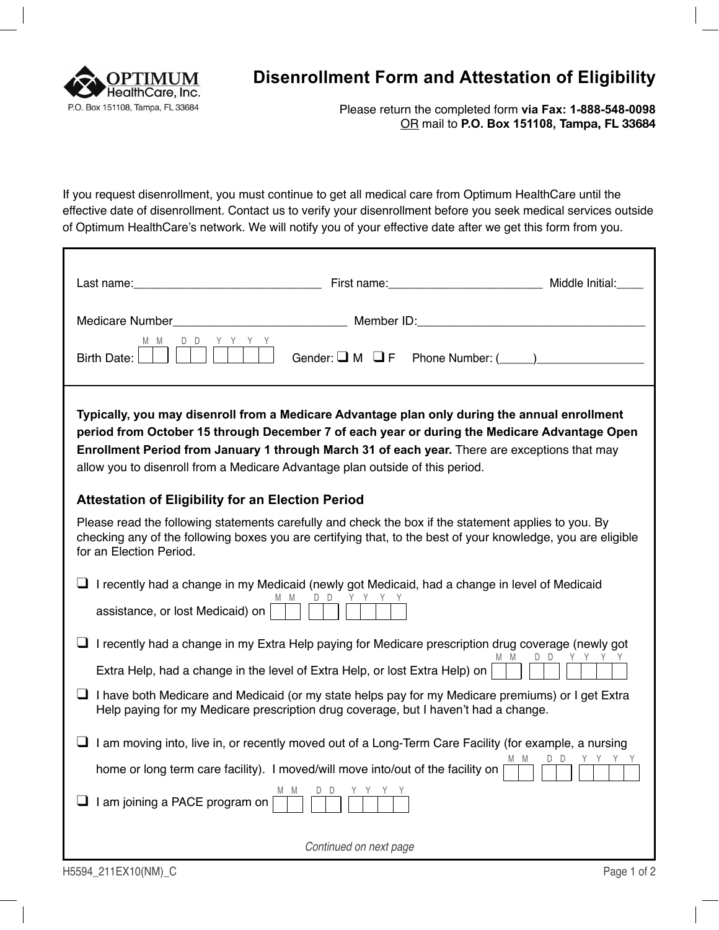

## **Disenrollment Form and Attestation of Eligibility**

Please return the completed form **via Fax: 1-888-548-0098**  OR mail to **P.O. Box 151108, Tampa, FL 33684** 

If you request disenrollment, you must continue to get all medical care from Optimum HealthCare until the effective date of disenrollment. Contact us to verify your disenrollment before you seek medical services outside of Optimum HealthCare's network. We will notify you of your effective date after we get this form from you.

| Birth Date:                                                                                                                                                                                                                                                                                                                                                                     |                        | Gender: $\Box$ M $\Box$ F Phone Number: $(\underline{\hspace{1cm}})$ |                |
|---------------------------------------------------------------------------------------------------------------------------------------------------------------------------------------------------------------------------------------------------------------------------------------------------------------------------------------------------------------------------------|------------------------|----------------------------------------------------------------------|----------------|
| Typically, you may disenroll from a Medicare Advantage plan only during the annual enrollment<br>period from October 15 through December 7 of each year or during the Medicare Advantage Open<br>Enrollment Period from January 1 through March 31 of each year. There are exceptions that may<br>allow you to disenroll from a Medicare Advantage plan outside of this period. |                        |                                                                      |                |
| <b>Attestation of Eligibility for an Election Period</b>                                                                                                                                                                                                                                                                                                                        |                        |                                                                      |                |
| Please read the following statements carefully and check the box if the statement applies to you. By<br>checking any of the following boxes you are certifying that, to the best of your knowledge, you are eligible<br>for an Election Period.                                                                                                                                 |                        |                                                                      |                |
| I recently had a change in my Medicaid (newly got Medicaid, had a change in level of Medicaid<br>assistance, or lost Medicaid) on                                                                                                                                                                                                                                               | MM DD YYYY             |                                                                      |                |
| $\Box$ I recently had a change in my Extra Help paying for Medicare prescription drug coverage (newly got                                                                                                                                                                                                                                                                       |                        |                                                                      |                |
| Extra Help, had a change in the level of Extra Help, or lost Extra Help) on                                                                                                                                                                                                                                                                                                     |                        | M M                                                                  | DD YYY         |
| $\Box$ I have both Medicare and Medicaid (or my state helps pay for my Medicare premiums) or I get Extra<br>Help paying for my Medicare prescription drug coverage, but I haven't had a change.                                                                                                                                                                                 |                        |                                                                      |                |
| I am moving into, live in, or recently moved out of a Long-Term Care Facility (for example, a nursing                                                                                                                                                                                                                                                                           |                        |                                                                      |                |
| home or long term care facility). I moved/will move into/out of the facility on                                                                                                                                                                                                                                                                                                 |                        | MM.                                                                  | Y Y Y Y<br>D D |
| I am joining a PACE program on                                                                                                                                                                                                                                                                                                                                                  |                        |                                                                      |                |
|                                                                                                                                                                                                                                                                                                                                                                                 | Continued on next page |                                                                      |                |